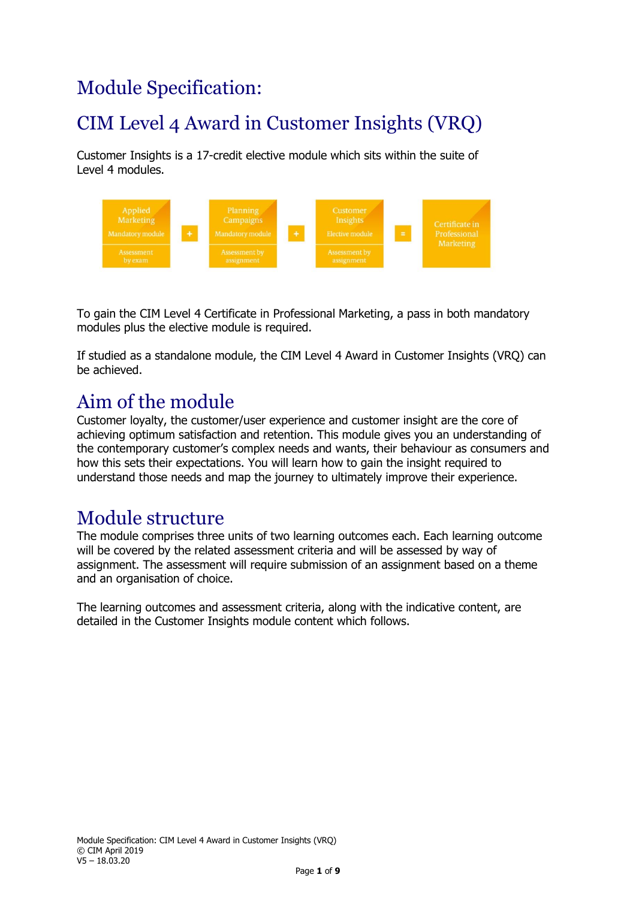# Module Specification:

# CIM Level 4 Award in Customer Insights (VRQ)

Customer Insights is a 17-credit elective module which sits within the suite of Level 4 modules.



To gain the CIM Level 4 Certificate in Professional Marketing, a pass in both mandatory modules plus the elective module is required.

If studied as a standalone module, the CIM Level 4 Award in Customer Insights (VRQ) can be achieved.

## Aim of the module

Customer loyalty, the customer/user experience and customer insight are the core of achieving optimum satisfaction and retention. This module gives you an understanding of the contemporary customer's complex needs and wants, their behaviour as consumers and how this sets their expectations. You will learn how to gain the insight required to understand those needs and map the journey to ultimately improve their experience.

### Module structure

The module comprises three units of two learning outcomes each. Each learning outcome will be covered by the related assessment criteria and will be assessed by way of assignment. The assessment will require submission of an assignment based on a theme and an organisation of choice.

The learning outcomes and assessment criteria, along with the indicative content, are detailed in the Customer Insights module content which follows.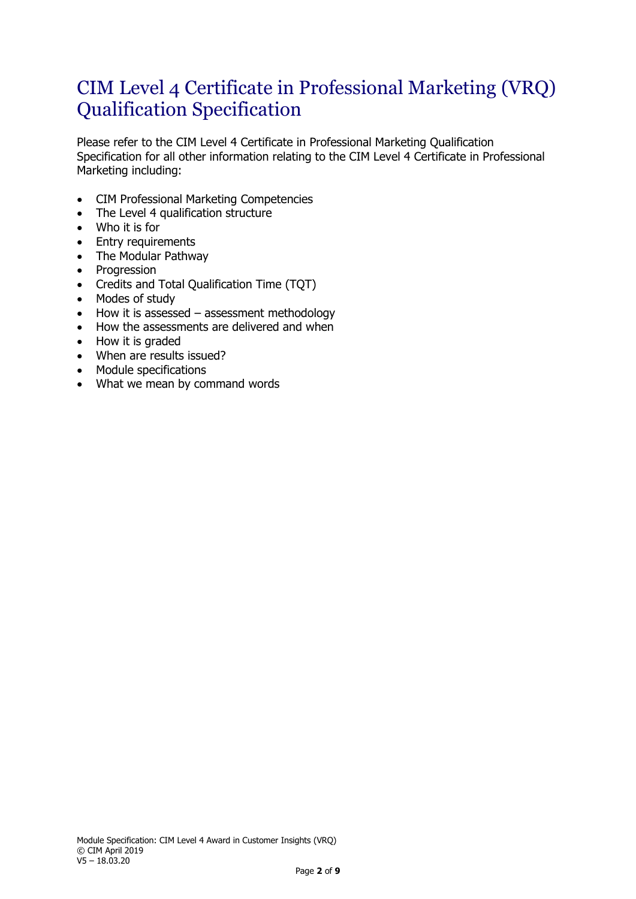### CIM Level 4 Certificate in Professional Marketing (VRQ) Qualification Specification

Please refer to the CIM Level 4 Certificate in Professional Marketing Qualification Specification for all other information relating to the CIM Level 4 Certificate in Professional Marketing including:

- CIM Professional Marketing Competencies
- The Level 4 qualification structure
- Who it is for
- Entry requirements
- The Modular Pathway
- Progression
- Credits and Total Qualification Time (TQT)
- Modes of study
- How it is assessed assessment methodology
- How the assessments are delivered and when
- How it is graded
- When are results issued?
- Module specifications
- What we mean by command words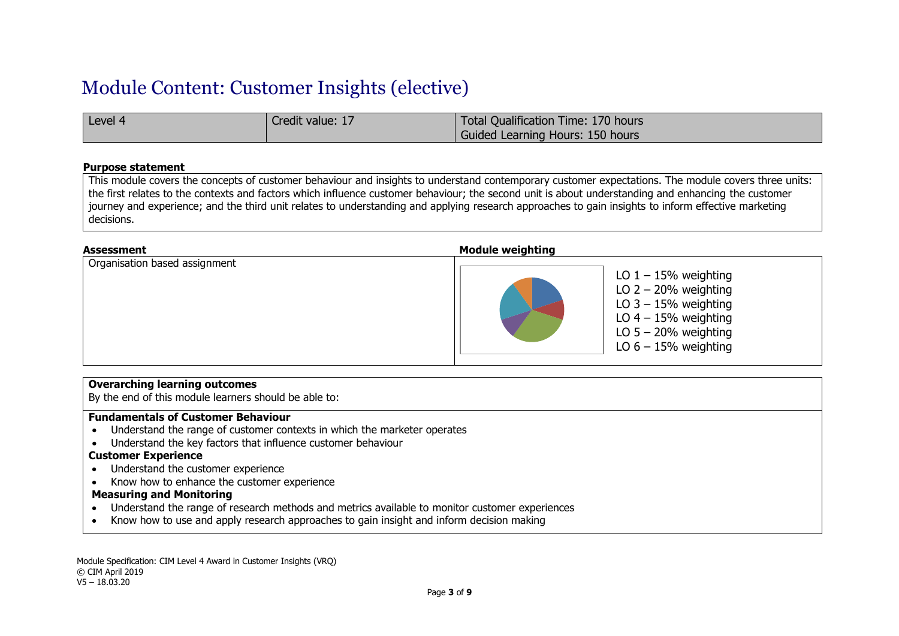### Module Content: Customer Insights (elective)

| Level $\ell$ | Credit value: 17 | Total Qualification Time: 170 hours |
|--------------|------------------|-------------------------------------|
|              |                  | Guided Learning Hours: 150 hours    |

#### **Purpose statement**

This module covers the concepts of customer behaviour and insights to understand contemporary customer expectations. The module covers three units: the first relates to the contexts and factors which influence customer behaviour; the second unit is about understanding and enhancing the customer journey and experience; and the third unit relates to understanding and applying research approaches to gain insights to inform effective marketing decisions.

| <b>Assessment</b>             | <b>Module weighting</b>                                                                                                                                  |
|-------------------------------|----------------------------------------------------------------------------------------------------------------------------------------------------------|
| Organisation based assignment | LO $1 - 15%$ weighting<br>LO $2 - 20%$ weighting<br>LO $3 - 15%$ weighting<br>LO $4 - 15%$ weighting<br>LO $5 - 20%$ weighting<br>LO $6 - 15%$ weighting |

#### **Overarching learning outcomes**

By the end of this module learners should be able to:

#### **Fundamentals of Customer Behaviour**

- Understand the range of customer contexts in which the marketer operates
- Understand the key factors that influence customer behaviour

#### **Customer Experience**

- Understand the customer experience
- Know how to enhance the customer experience

#### **Measuring and Monitoring**

- Understand the range of research methods and metrics available to monitor customer experiences
- Know how to use and apply research approaches to gain insight and inform decision making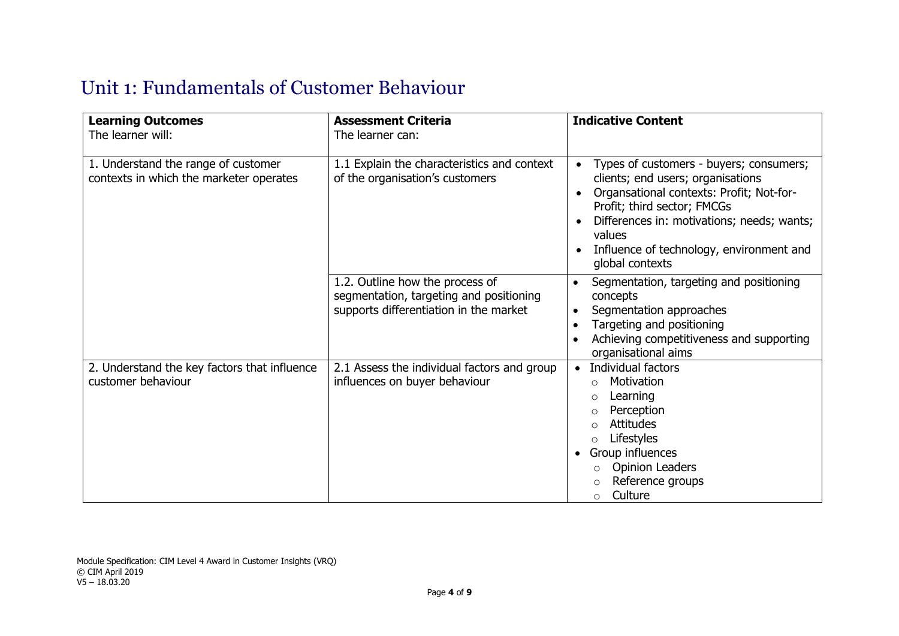## Unit 1: Fundamentals of Customer Behaviour

| <b>Learning Outcomes</b><br>The learner will:                                  | <b>Assessment Criteria</b><br>The learner can:                                                                       | <b>Indicative Content</b>                                                                                                                                                                                                                                                                   |
|--------------------------------------------------------------------------------|----------------------------------------------------------------------------------------------------------------------|---------------------------------------------------------------------------------------------------------------------------------------------------------------------------------------------------------------------------------------------------------------------------------------------|
| 1. Understand the range of customer<br>contexts in which the marketer operates | 1.1 Explain the characteristics and context<br>of the organisation's customers                                       | Types of customers - buyers; consumers;<br>$\bullet$<br>clients; end users; organisations<br>Organsational contexts: Profit; Not-for-<br>Profit; third sector; FMCGs<br>Differences in: motivations; needs; wants;<br>values<br>Influence of technology, environment and<br>global contexts |
|                                                                                | 1.2. Outline how the process of<br>segmentation, targeting and positioning<br>supports differentiation in the market | Segmentation, targeting and positioning<br>concepts<br>Segmentation approaches<br>Targeting and positioning<br>Achieving competitiveness and supporting<br>organisational aims                                                                                                              |
| 2. Understand the key factors that influence<br>customer behaviour             | 2.1 Assess the individual factors and group<br>influences on buyer behaviour                                         | Individual factors<br>Motivation<br>$\circ$<br>Learning<br>Perception<br><b>Attitudes</b><br>Lifestyles<br>Group influences<br>$\bullet$<br><b>Opinion Leaders</b><br>Reference groups<br>Culture<br>$\circ$                                                                                |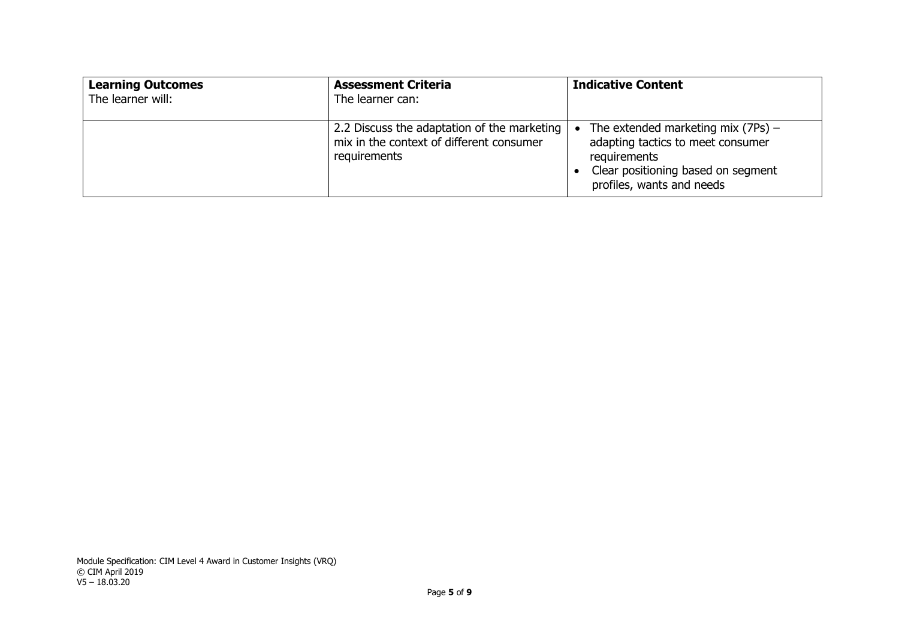| <b>Learning Outcomes</b><br>The learner will: | <b>Assessment Criteria</b><br>The learner can:                                                          | <b>Indicative Content</b>                                                                                                                                    |
|-----------------------------------------------|---------------------------------------------------------------------------------------------------------|--------------------------------------------------------------------------------------------------------------------------------------------------------------|
|                                               | 2.2 Discuss the adaptation of the marketing<br>mix in the context of different consumer<br>requirements | The extended marketing mix $(7Ps)$ –<br>adapting tactics to meet consumer<br>requirements<br>Clear positioning based on segment<br>profiles, wants and needs |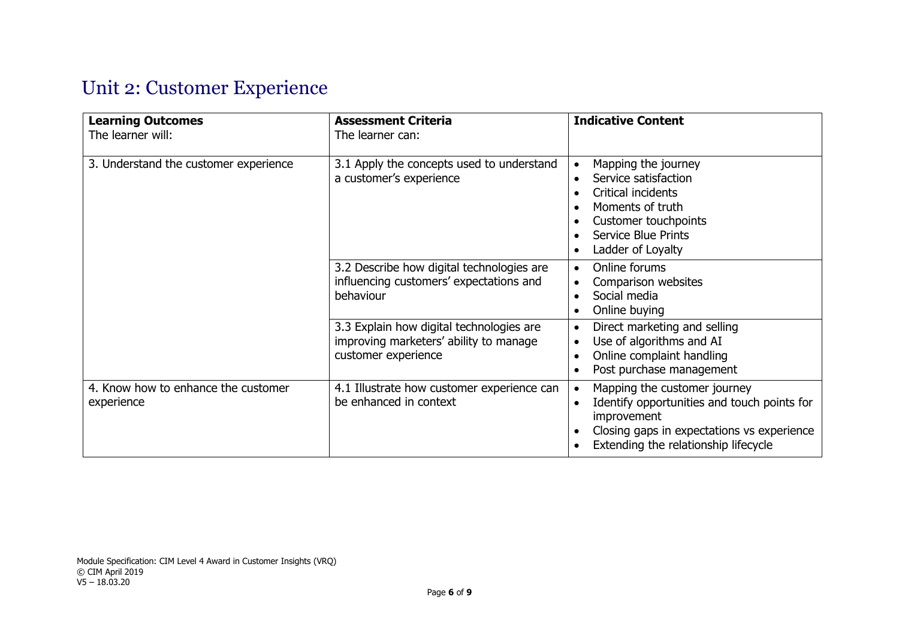# Unit 2: Customer Experience

| <b>Learning Outcomes</b><br>The learner will:     | <b>Assessment Criteria</b><br>The learner can:                                                            | <b>Indicative Content</b>                                                                                                                                                                     |
|---------------------------------------------------|-----------------------------------------------------------------------------------------------------------|-----------------------------------------------------------------------------------------------------------------------------------------------------------------------------------------------|
| 3. Understand the customer experience             | 3.1 Apply the concepts used to understand<br>a customer's experience                                      | Mapping the journey<br>Service satisfaction<br>Critical incidents<br>Moments of truth<br>Customer touchpoints<br><b>Service Blue Prints</b><br>Ladder of Loyalty                              |
|                                                   | 3.2 Describe how digital technologies are<br>influencing customers' expectations and<br>behaviour         | Online forums<br>Comparison websites<br>Social media<br>Online buying                                                                                                                         |
|                                                   | 3.3 Explain how digital technologies are<br>improving marketers' ability to manage<br>customer experience | Direct marketing and selling<br>٠<br>Use of algorithms and AI<br>٠<br>Online complaint handling<br>Post purchase management                                                                   |
| 4. Know how to enhance the customer<br>experience | 4.1 Illustrate how customer experience can<br>be enhanced in context                                      | Mapping the customer journey<br>$\bullet$<br>Identify opportunities and touch points for<br>improvement<br>Closing gaps in expectations vs experience<br>Extending the relationship lifecycle |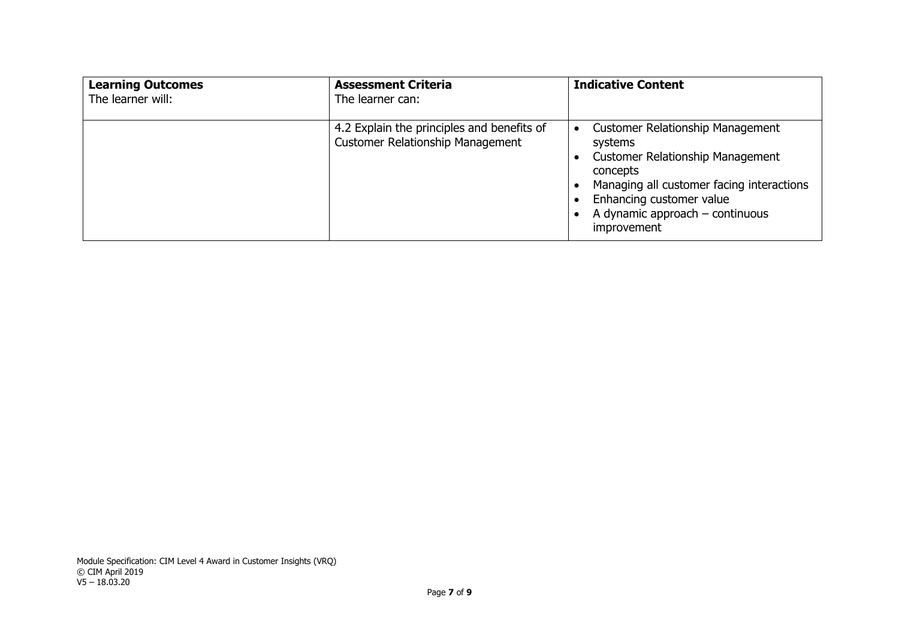| <b>Learning Outcomes</b><br>The learner will: | <b>Assessment Criteria</b><br>The learner can:                                        | <b>Indicative Content</b>                                                                                                                                                                                                              |
|-----------------------------------------------|---------------------------------------------------------------------------------------|----------------------------------------------------------------------------------------------------------------------------------------------------------------------------------------------------------------------------------------|
|                                               | 4.2 Explain the principles and benefits of<br><b>Customer Relationship Management</b> | <b>Customer Relationship Management</b><br>systems<br><b>Customer Relationship Management</b><br>concepts<br>Managing all customer facing interactions<br>Enhancing customer value<br>A dynamic approach $-$ continuous<br>improvement |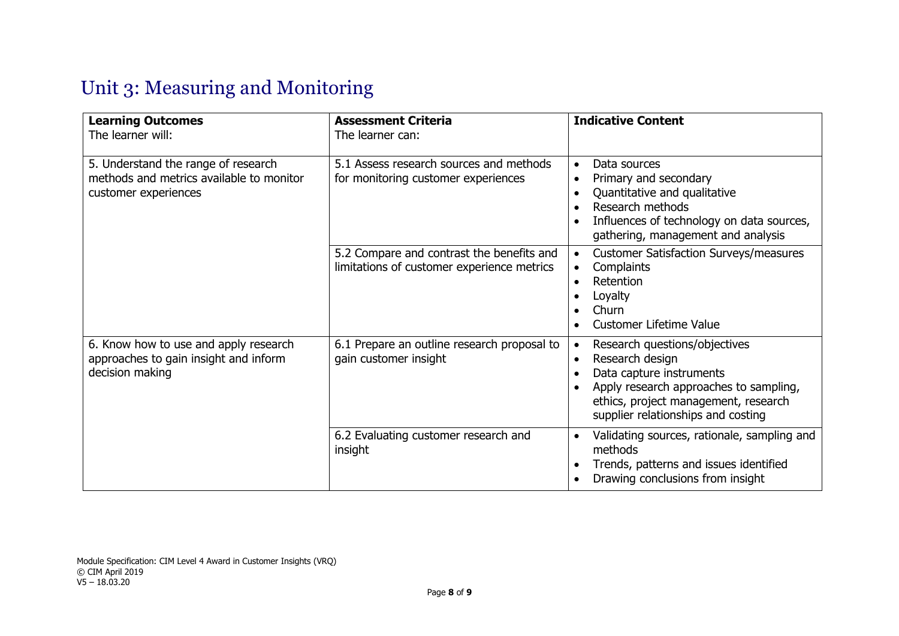# Unit 3: Measuring and Monitoring

| <b>Learning Outcomes</b><br>The learner will:                                                           | <b>Assessment Criteria</b><br>The learner can:                                          | <b>Indicative Content</b>                                                                                                                                                                                                      |
|---------------------------------------------------------------------------------------------------------|-----------------------------------------------------------------------------------------|--------------------------------------------------------------------------------------------------------------------------------------------------------------------------------------------------------------------------------|
| 5. Understand the range of research<br>methods and metrics available to monitor<br>customer experiences | 5.1 Assess research sources and methods<br>for monitoring customer experiences          | Data sources<br>$\bullet$<br>Primary and secondary<br>$\bullet$<br>Quantitative and qualitative<br>Research methods<br>Influences of technology on data sources,<br>gathering, management and analysis                         |
|                                                                                                         | 5.2 Compare and contrast the benefits and<br>limitations of customer experience metrics | <b>Customer Satisfaction Surveys/measures</b><br>$\bullet$<br>Complaints<br>$\bullet$<br>Retention<br>$\bullet$<br>Loyalty<br>Churn<br>Customer Lifetime Value                                                                 |
| 6. Know how to use and apply research<br>approaches to gain insight and inform<br>decision making       | 6.1 Prepare an outline research proposal to<br>gain customer insight                    | Research questions/objectives<br>$\bullet$<br>Research design<br>$\bullet$<br>Data capture instruments<br>Apply research approaches to sampling,<br>ethics, project management, research<br>supplier relationships and costing |
|                                                                                                         | 6.2 Evaluating customer research and<br>insight                                         | Validating sources, rationale, sampling and<br>٠<br>methods<br>Trends, patterns and issues identified<br>Drawing conclusions from insight                                                                                      |